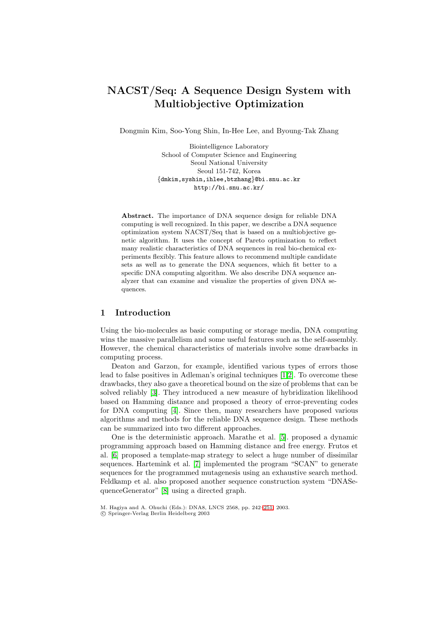# **NACST/Seq: A Sequence Design System with Multiobjective Optimization**

Dongmin Kim, Soo-Yong Shin, In-Hee Lee, and Byoung-Tak Zhang

Biointelligence Laboratory School of Computer Science and Engineering Seoul National University Seoul 151-742, Korea *{*dmkim,syshin,ihlee,btzhang*}*@bi.snu.ac.kr http://bi.snu.ac.kr/

**Abstract.** The importance of DNA sequence design for reliable DNA computing is well recognized. In this paper, we describe a DNA sequence optimization system NACST/Seq that is based on a multiobjective genetic algorithm. It uses the concept of Pareto optimization to reflect many realistic characteristics of DNA sequences in real bio-chemical experiments flexibly. This feature allows to recommend multiple candidate sets as well as to generate the DNA sequences, which fit better to a specific DNA computing algorithm. We also describe DNA sequence analyzer that can examine and visualize the properties of given DNA sequences.

#### **1 Introduction**

Using the bio-molecules as basic computing or storage media, DNA computing wins the massive parallelism and some useful features such as the self-assembly. However, the chemical characteristics of materials involve some drawbacks in computing process.

Deaton and Garzon, for example, identified various types of errors those lead to false positives in Adleman's original techniques [\[1,](#page-8-0)[2\]](#page-9-0). To overcome these drawbacks, they also gave a theoretical bound on the size of problems that can be solved reliably [\[3\]](#page-9-1). They introduced a new measure of hybridization likelihood based on Hamming distance and proposed a theory of error-preventing codes for DNA computing [\[4\]](#page-9-2). Since then, many researchers have proposed various algorithms and methods for the reliable DNA sequence design. These methods can be summarized into two different approaches.

One is the deterministic approach. Marathe et al. [\[5\]](#page-9-3). proposed a dynamic programming approach based on Hamming distance and free energy. Frutos et al. [\[6\]](#page-9-4) proposed a template-map strategy to select a huge number of dissimilar sequences. Hartemink et al. [\[7\]](#page-9-5) implemented the program "SCAN" to generate sequences for the programmed mutagenesis using an exhaustive search method. Feldkamp et al. also proposed another sequence construction system "DNASequenceGenerator" [\[8\]](#page-9-6) using a directed graph.

c Springer-Verlag Berlin Heidelberg 2003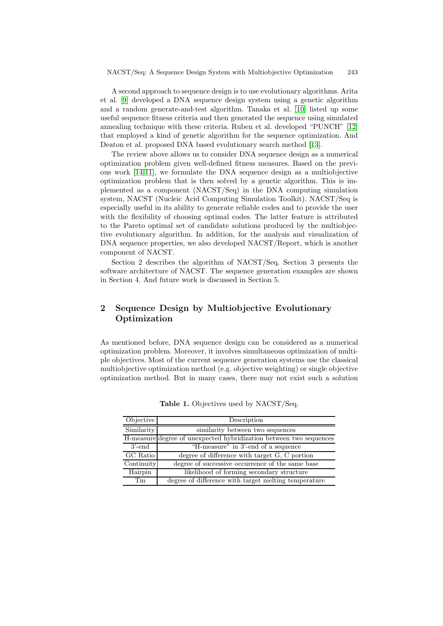A second approach to sequence design is to use evolutionary algorithms. Arita et al. [\[9\]](#page-9-8) developed a DNA sequence design system using a genetic algorithm and a random generate-and-test algorithm. Tanaka et al. [\[10\]](#page-9-9) listed up some useful sequence fitness criteria and then generated the sequence using simulated annealing technique with these criteria. Ruben et al. developed "PUNCH" [\[12\]](#page-9-10) that employed a kind of genetic algorithm for the sequence optimization. And Deaton et al. proposed DNA based evolutionary search method [\[13\]](#page-9-11).

The review above allows us to consider DNA sequence design as a numerical optimization problem given well-defined fitness measures. Based on the previous work [\[14,](#page-9-12)[11\]](#page-9-13), we formulate the DNA sequence design as a multiobjective optimization problem that is then solved by a genetic algorithm. This is implemented as a component (NACST/Seq) in the DNA computing simulation system, NACST (Nucleic Acid Computing Simulation Toolkit). NACST/Seq is especially useful in its ability to generate reliable codes and to provide the user with the flexibility of choosing optimal codes. The latter feature is attributed to the Pareto optimal set of candidate solutions produced by the multiobjective evolutionary algorithm. In addition, for the analysis and visualization of DNA sequence properties, we also developed NACST/Report, which is another component of NACST.

Section 2 describes the algorithm of NACST/Seq. Section 3 presents the software architecture of NACST. The sequence generation examples are shown in Section 4. And future work is discussed in Section 5.

# **2 Sequence Design by Multiobjective Evolutionary Optimization**

As mentioned before, DNA sequence design can be considered as a numerical optimization problem. Moreover, it involves simultaneous optimization of multiple objectives. Most of the current sequence generation systems use the classical multiobjective optimization method (e.g. objective weighting) or single objective optimization method. But in many cases, there may not exist such a solution

<span id="page-1-0"></span>

| Objective  | Description                                                        |
|------------|--------------------------------------------------------------------|
| Similarity | similarity between two sequences                                   |
|            | H-measure degree of unexpected hybridization between two sequences |
| $3'$ -end  | "H-measure" in 3'-end of a sequence                                |
| GC Ratio   | degree of difference with target G, C portion                      |
| Continuity | degree of successive occurrence of the same base                   |
| Hairpin    | likelihood of forming secondary structure                          |
| Tm         | degree of difference with target melting temperature               |

**Table 1.** Objectives used by NACST/Seq.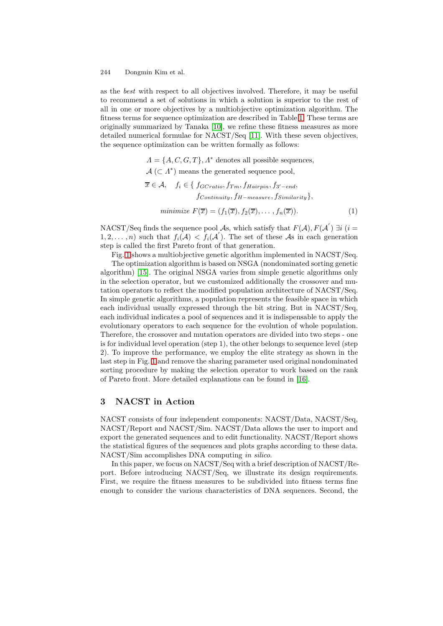as the *best* with respect to all objectives involved. Therefore, it may be useful to recommend a set of solutions in which a solution is superior to the rest of all in one or more objectives by a multiobjective optimization algorithm. The fitness terms for sequence optimization are described in Table [1.](#page-1-0) These terms are originally summarized by Tanaka [\[10\]](#page-9-9), we refine these fitness measures as more detailed numerical formulae for NACST/Seq [\[11\]](#page-9-13). With these seven objectives, the sequence optimization can be written formally as follows:

> $\Lambda = \{A, C, G, T\}, \Lambda^*$  denotes all possible sequences,  $\mathcal{A}$  ( $\subset \Lambda^*$ ) means the generated sequence pool,  $\overline{x}$  ∈  $\mathcal{A}$ ,  $f_i$  ∈ {  $f_{GCratio}$ ,  $f_{Tm}$ ,  $f_{Hairpin}$ ,  $f_{3'-end}$ , f*Continuity*, f*H*−*measure*, f*Similarity*}, *minimize*  $F(\overline{x}) = (f_1(\overline{x}), f_2(\overline{x}), \ldots, f_n(\overline{x})).$  (1)

NACST/Seq finds the sequence pool  $\mathcal{A}s$ , which satisfy that  $F(\mathcal{A}), F(\mathcal{A}^{'}) \exists i$  (i =  $1, 2, \ldots, n$  such that  $f_i(\mathcal{A}) < f_i(\mathcal{A}')$ . The set of these As in each generation step is called the first Pareto front of that generation.

Fig. [1](#page-3-0) shows a multiobjective genetic algorithm implemented in NACST/Seq.

The optimization algorithm is based on NSGA (nondominated sorting genetic algorithm) [\[15\]](#page-9-14). The original NSGA varies from simple genetic algorithms only in the selection operator, but we customized additionally the crossover and mutation operators to reflect the modified population architecture of NACST/Seq. In simple genetic algorithms, a population represents the feasible space in which each individual usually expressed through the bit string. But in NACST/Seq, each individual indicates a pool of sequences and it is indispensable to apply the evolutionary operators to each sequence for the evolution of whole population. Therefore, the crossover and mutation operators are divided into two steps - one is for individual level operation (step 1), the other belongs to sequence level (step 2). To improve the performance, we employ the elite strategy as shown in the last step in Fig. [1](#page-3-0) and remove the sharing parameter used original nondominated sorting procedure by making the selection operator to work based on the rank of Pareto front. More detailed explanations can be found in [\[16\]](#page-9-15).

## **3 NACST in Action**

NACST consists of four independent components: NACST/Data, NACST/Seq, NACST/Report and NACST/Sim. NACST/Data allows the user to import and export the generated sequences and to edit functionality. NACST/Report shows the statistical figures of the sequences and plots graphs according to these data. NACST/Sim accomplishes DNA computing *in silico*.

In this paper, we focus on NACST/Seq with a brief description of NACST/Report. Before introducing NACST/Seq, we illustrate its design requirements. First, we require the fitness measures to be subdivided into fitness terms fine enough to consider the various characteristics of DNA sequences. Second, the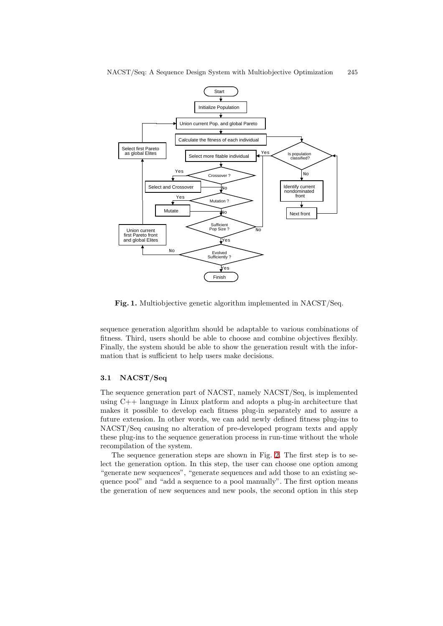

**Fig. 1.** Multiobjective genetic algorithm implemented in NACST/Seq.

<span id="page-3-0"></span>sequence generation algorithm should be adaptable to various combinations of fitness. Third, users should be able to choose and combine objectives flexibly. Finally, the system should be able to show the generation result with the information that is sufficient to help users make decisions.

#### **3.1 NACST/Seq**

The sequence generation part of NACST, namely NACST/Seq, is implemented using C++ language in Linux platform and adopts a plug-in architecture that makes it possible to develop each fitness plug-in separately and to assure a future extension. In other words, we can add newly defined fitness plug-ins to NACST/Seq causing no alteration of pre-developed program texts and apply these plug-ins to the sequence generation process in run-time without the whole recompilation of the system.

The sequence generation steps are shown in Fig. [2.](#page-4-0) The first step is to select the generation option. In this step, the user can choose one option among "generate new sequences", "generate sequences and add those to an existing sequence pool" and "add a sequence to a pool manually". The first option means the generation of new sequences and new pools, the second option in this step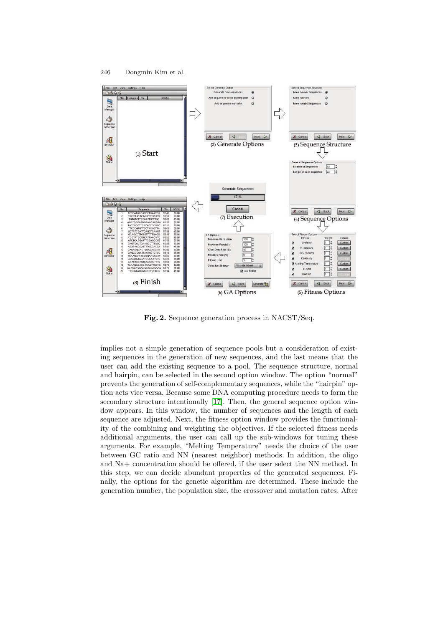

**Fig. 2.** Sequence generation process in NACST/Seq.

<span id="page-4-0"></span>implies not a simple generation of sequence pools but a consideration of existing sequences in the generation of new sequences, and the last means that the user can add the existing sequence to a pool. The sequence structure, normal and hairpin, can be selected in the second option window. The option "normal" prevents the generation of self-complementary sequences, while the "hairpin" option acts vice versa. Because some DNA computing procedure needs to form the secondary structure intentionally [\[17\]](#page-9-16). Then, the general sequence option window appears. In this window, the number of sequences and the length of each sequence are adjusted. Next, the fitness option window provides the functionality of the combining and weighting the objectives. If the selected fitness needs additional arguments, the usercan call up the sub-windows fortuning these arguments. For example, "Melting Temperature" needs the choice of the user between GC ratio and NN (nearest neighbor) methods. In addition, the oligo and Na+ concentration should be offered, if the user select the NN method. In this step, we can decide abundant properties of the generated sequences. Finally, the options for the genetic algorithm are determined. These include the generation number, the population size, the crossover and mutation rates. After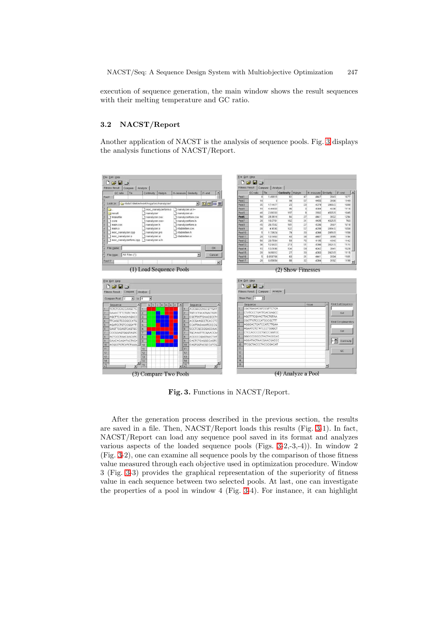execution of sequence generation, the main window shows the result sequences with their melting temperature and GC ratio.

#### **3.2 NACST/Report**

Another application of NACST is the analysis of sequence pools. Fig. [3](#page-5-0) displays the analysis functions of NACST/Report.



<span id="page-5-0"></span>**Fig. 3.** Functions in NACST/Report.

After the generation process described in the previous section, the results are saved in a file. Then, NACST/Report loads this results (Fig. [3-](#page-5-0)1). In fact, NACST/Report can load any sequence pool saved in its format and analyzes various aspects of the loaded sequence pools (Figs. [3-](#page-5-0)2,-3,-4)). In window 2 (Fig. [3-](#page-5-0)2), one can examine all sequence pools by the comparison of those fitness value measured through each objective used in optimization procedure. Window 3 (Fig. [3-](#page-5-0)3) provides the graphical representation of the superiority of fitness value in each sequence between two selected pools. At last, one can investigate the properties of a pool in window 4 (Fig. [3-](#page-5-0)4). For instance, it can highlight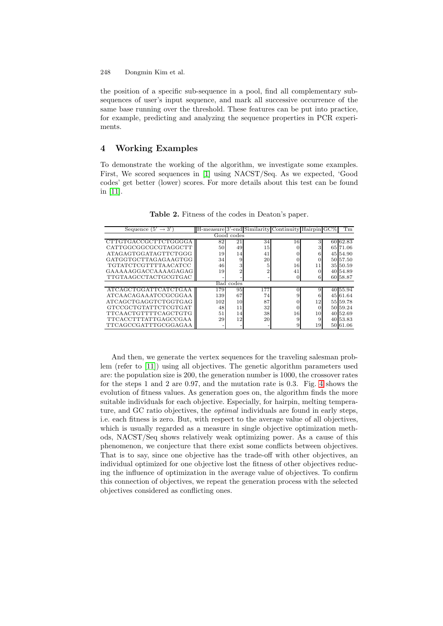the position of a specific sub-sequence in a pool, find all complementary subsequences of user's input sequence, and mark all successive occurrence of the same base running over the threshold. These features can be put into practice, for example, predicting and analyzing the sequence properties in PCR experiments.

# **4 Working Examples**

To demonstrate the working of the algorithm, we investigate some examples. First, We scored sequences in [\[1\]](#page-8-0) using NACST/Seq. As we expected, 'Good codes' get better (lower) scores. For more details about this test can be found in [\[11\]](#page-9-13).

| Sequence $(5' \rightarrow 3')$ |     |    |                 | H-measure 3'-end Similarity Continuity Hairpin GC% |    |  | Tm       |  |  |  |  |
|--------------------------------|-----|----|-----------------|----------------------------------------------------|----|--|----------|--|--|--|--|
| Good codes                     |     |    |                 |                                                    |    |  |          |  |  |  |  |
| CTTGTGACCGCTTCTGGGGA           | 82  | 21 | 34              | 16                                                 | 3  |  | 60 62.83 |  |  |  |  |
| CATTGGCGGCGCGTAGGCTT           | 50  | 49 | 15 <sup>1</sup> | 0                                                  |    |  | 65 71.06 |  |  |  |  |
| ATAGAGTGGATAGTTCTGGG           | 19  | 14 | 41              | 0                                                  | 6  |  | 45 54.90 |  |  |  |  |
| GATGGTGCTTAGAGAAGTGG           | 34  |    | 20              | 0                                                  |    |  | 50 57.50 |  |  |  |  |
| TGTATCTCGTTTTAACATCC           | 46  |    | 5               | 16                                                 | 11 |  | 35 50.59 |  |  |  |  |
| GAAAAAGGACCAAAAGAGAG           | 19  |    | ີ               | 41                                                 |    |  | 40 54.89 |  |  |  |  |
| TTGTAAGCCTACTGCGTGAC           |     |    |                 | 0                                                  |    |  | 60 58.87 |  |  |  |  |
| Bad codes                      |     |    |                 |                                                    |    |  |          |  |  |  |  |
| ATCAGCTGGATTCATCTGAA           | 179 | 95 | 177             | O                                                  | 9  |  | 40 55.94 |  |  |  |  |
| ATCAACAGAAATCCGCGGAA           | 139 | 67 | 74              | 9                                                  | 6  |  | 45 61 64 |  |  |  |  |
| ATCAGCTGAGGTCTGGTGAG           | 102 | 10 | 87              | 0                                                  | 12 |  | 55 59.78 |  |  |  |  |
| GTCCGCTGTATTCTCGTGAT           | 48  | 11 | 32              | 0                                                  |    |  | 50 59.24 |  |  |  |  |
| TTCAACTGTTTTCAGCTGTG           | 51  | 14 | 38              | 16                                                 | 10 |  | 40 52.69 |  |  |  |  |
| TTCACCTTTATTGAGCCGAA           | 29  | 12 | 20              | 9                                                  | 9  |  | 40 53.83 |  |  |  |  |
| TTCAGCCGATTTGCGGAGAA           |     |    |                 | 9                                                  | 19 |  | 50 61.06 |  |  |  |  |

**Table 2.** Fitness of the codes in Deaton's paper.

And then, we generate the vertex sequences for the traveling salesman problem (refer to [\[11\]](#page-9-13)) using all objectives. The genetic algorithm parameters used are: the population size is 200, the generation number is 1000, the crossover rates for the steps 1 and 2 are 0.97, and the mutation rate is 0.3. Fig. [4](#page-7-0) shows the evolution of fitness values. As generation goes on, the algorithm finds the more suitable individuals for each objective. Especially, for hairpin, melting temperature, and GC ratio objectives, the *optimal* individuals are found in early steps, i.e. each fitness is zero. But, with respect to the average value of all objectives, which is usually regarded as a measure in single objective optimization methods, NACST/Seq shows relatively weak optimizing power. As a cause of this phenomenon, we conjecture that there exist some conflicts between objectives. That is to say, since one objective has the trade-off with other objectives, an individual optimized for one objective lost the fitness of other objectives reducing the influence of optimization in the average value of objectives. To confirm this connection of objectives, we repeat the generation process with the selected objectives considered as conflicting ones.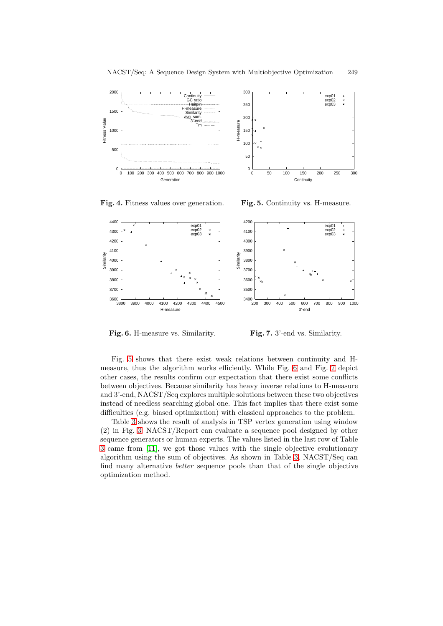



**Fig. 4.** Fitness values over generation.

<span id="page-7-1"></span>**Fig. 5.** Continuity vs. H-measure.

<span id="page-7-0"></span>

**Fig. 6.** H-measure vs. Similarity.

<span id="page-7-3"></span>**Fig. 7.** 3'-end vs. Similarity.

<span id="page-7-2"></span>Fig. [5](#page-7-1) shows that there exist weak relations between continuity and Hmeasure, thus the algorithm works efficiently. While Fig. [6](#page-7-2) and Fig. [7](#page-7-3) depict other cases, the results confirm our expectation that there exist some conflicts between objectives. Because similarity has heavy inverse relations to H-measure and 3'-end, NACST/Seq explores multiple solutions between these two objectives instead of needless searching global one. This fact implies that there exist some difficulties (e.g. biased optimization) with classical approaches to the problem.

Table [3](#page-8-1) shows the result of analysis in TSP vertex generation using window (2) in Fig. [3.](#page-5-0) NACST/Report can evaluate a sequence pool designed by other sequence generators or human experts. The values listed in the last row of Table [3](#page-8-1) came from [\[11\]](#page-9-13), we got those values with the single objective evolutionary algorithm using the sum of objectives. As shown in Table [3,](#page-8-1)  $NACST/Seq$  can find many alternative *better* sequence pools than that of the single objective optimization method.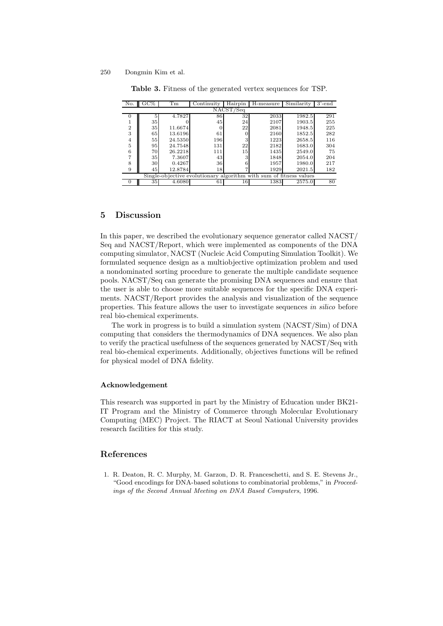<span id="page-8-1"></span>

| No.                                                                | $\rm{GC\%}$ | Tm      | Continuity | Hairpin | H-measure | Similarity | $3'$ -end |  |  |  |  |
|--------------------------------------------------------------------|-------------|---------|------------|---------|-----------|------------|-----------|--|--|--|--|
| NACST/Seq                                                          |             |         |            |         |           |            |           |  |  |  |  |
| 0                                                                  | 5           | 4.7827  | 86         | 32      | 2033      | 1982.5     | 291       |  |  |  |  |
|                                                                    | 35          |         | 45         | 24      | 2107      | 1903.5     | 255       |  |  |  |  |
| $\overline{2}$                                                     | 35          | 11.6674 | 0          | 22      | 2081      | 1948.5     | 225       |  |  |  |  |
| 3                                                                  | 65          | 13.6196 | 61         |         | 2160      | 1852.5     | 282       |  |  |  |  |
| 4                                                                  | 55          | 24.5350 | 196        | З       | 1223      | 2658.5     | 116       |  |  |  |  |
| 5                                                                  | 95          | 24.7548 | 131        | 22      | 2182      | 1683.0     | 304       |  |  |  |  |
| 6                                                                  | 70          | 26.2218 | 111        | 15      | 1435      | 2549.0     | 75        |  |  |  |  |
| 7                                                                  | 35          | 7.3607  | 43         | 3       | 1848      | 2054.0     | 204       |  |  |  |  |
| 8                                                                  | 30          | 0.4267  | 36         |         | 1957      | 1980.0     | 217       |  |  |  |  |
| 9                                                                  | 45          | 12.8784 | 18         |         | 1929      | 2021.5     | 182       |  |  |  |  |
| Single-objective evolutionary algorithm with sum of fitness values |             |         |            |         |           |            |           |  |  |  |  |
| 0                                                                  | 35          | 4.6080  | 61         | 16      | 1383      | 2575.0     | 80        |  |  |  |  |

**Table 3.** Fitness of the generated vertex sequences for TSP.

## **5 Discussion**

In this paper, we described the evolutionary sequence generator called NACST/ Seq and NACST/Report, which were implemented as components of the DNA computing simulator, NACST (Nucleic Acid Computing Simulation Toolkit). We formulated sequence design as a multiobjective optimization problem and used a nondominated sorting procedure to generate the multiple candidate sequence pools. NACST/Seq can generate the promising DNA sequences and ensure that the user is able to choose more suitable sequences for the specific DNA experiments. NACST/Report provides the analysis and visualization of the sequence properties. This feature allows the user to investigate sequences *in silico* before real bio-chemical experiments.

The work in progress is to build a simulation system (NACST/Sim) of DNA computing that considers the thermodynamics of DNA sequences. We also plan to verify the practical usefulness of the sequences generated by NACST/Seq with real bio-chemical experiments. Additionally, objectives functions will be refined for physical model of DNA fidelity.

#### **Acknowledgement**

This research was supported in part by the Ministry of Education under BK21- IT Program and the Ministry of Commerce through Molecular Evolutionary Computing (MEC) Project. The RIACT at Seoul National University provides research facilities for this study.

## <span id="page-8-0"></span>**References**

1. R. Deaton, R. C. Murphy, M. Garzon, D. R. Franceschetti, and S. E. Stevens Jr., "Good encodings for DNA-based solutions to combinatorial problems," in *Proceedings of the Second Annual Meeting on DNA Based Computers*, 1996.